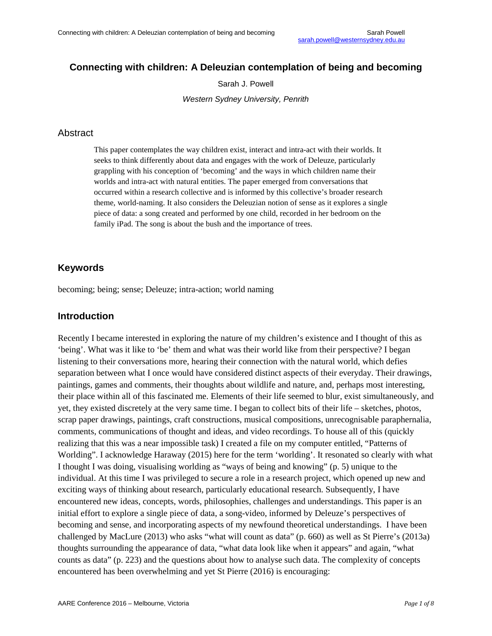#### **Connecting with children: A Deleuzian contemplation of being and becoming**

Sarah J. Powell

*Western Sydney University, Penrith*

#### Abstract

This paper contemplates the way children exist, interact and intra-act with their worlds. It seeks to think differently about data and engages with the work of Deleuze, particularly grappling with his conception of 'becoming' and the ways in which children name their worlds and intra-act with natural entities. The paper emerged from conversations that occurred within a research collective and is informed by this collective's broader research theme, world-naming. It also considers the Deleuzian notion of sense as it explores a single piece of data: a song created and performed by one child, recorded in her bedroom on the family iPad. The song is about the bush and the importance of trees.

#### **Keywords**

becoming; being; sense; Deleuze; intra-action; world naming

#### **Introduction**

Recently I became interested in exploring the nature of my children's existence and I thought of this as 'being'. What was it like to 'be' them and what was their world like from their perspective? I began listening to their conversations more, hearing their connection with the natural world, which defies separation between what I once would have considered distinct aspects of their everyday. Their drawings, paintings, games and comments, their thoughts about wildlife and nature, and, perhaps most interesting, their place within all of this fascinated me. Elements of their life seemed to blur, exist simultaneously, and yet, they existed discretely at the very same time. I began to collect bits of their life – sketches, photos, scrap paper drawings, paintings, craft constructions, musical compositions, unrecognisable paraphernalia, comments, communications of thought and ideas, and video recordings. To house all of this (quickly realizing that this was a near impossible task) I created a file on my computer entitled, "Patterns of Worlding". I acknowledge Haraway (2015) here for the term 'worlding'. It resonated so clearly with what I thought I was doing, visualising worlding as "ways of being and knowing" (p. 5) unique to the individual. At this time I was privileged to secure a role in a research project, which opened up new and exciting ways of thinking about research, particularly educational research. Subsequently, I have encountered new ideas, concepts, words, philosophies, challenges and understandings. This paper is an initial effort to explore a single piece of data, a song-video, informed by Deleuze's perspectives of becoming and sense, and incorporating aspects of my newfound theoretical understandings. I have been challenged by MacLure (2013) who asks "what will count as data" (p. 660) as well as St Pierre's (2013a) thoughts surrounding the appearance of data, "what data look like when it appears" and again, "what counts as data" (p. 223) and the questions about how to analyse such data. The complexity of concepts encountered has been overwhelming and yet St Pierre (2016) is encouraging: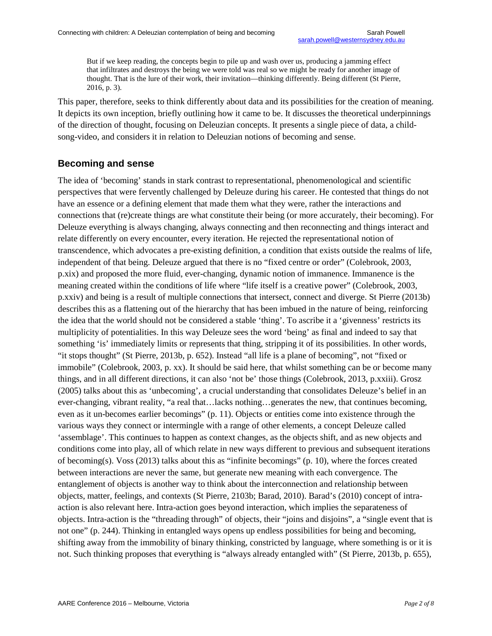But if we keep reading, the concepts begin to pile up and wash over us, producing a jamming effect that infiltrates and destroys the being we were told was real so we might be ready for another image of thought. That is the lure of their work, their invitation—thinking differently. Being different (St Pierre, 2016, p. 3).

This paper, therefore, seeks to think differently about data and its possibilities for the creation of meaning. It depicts its own inception, briefly outlining how it came to be. It discusses the theoretical underpinnings of the direction of thought, focusing on Deleuzian concepts. It presents a single piece of data, a childsong-video, and considers it in relation to Deleuzian notions of becoming and sense.

#### **Becoming and sense**

The idea of 'becoming' stands in stark contrast to representational, phenomenological and scientific perspectives that were fervently challenged by Deleuze during his career. He contested that things do not have an essence or a defining element that made them what they were, rather the interactions and connections that (re)create things are what constitute their being (or more accurately, their becoming). For Deleuze everything is always changing, always connecting and then reconnecting and things interact and relate differently on every encounter, every iteration. He rejected the representational notion of transcendence, which advocates a pre-existing definition, a condition that exists outside the realms of life, independent of that being. Deleuze argued that there is no "fixed centre or order" (Colebrook, 2003, p.xix) and proposed the more fluid, ever-changing, dynamic notion of immanence. Immanence is the meaning created within the conditions of life where "life itself is a creative power" (Colebrook, 2003, p.xxiv) and being is a result of multiple connections that intersect, connect and diverge. St Pierre (2013b) describes this as a flattening out of the hierarchy that has been imbued in the nature of being, reinforcing the idea that the world should not be considered a stable 'thing'. To ascribe it a 'givenness' restricts its multiplicity of potentialities. In this way Deleuze sees the word 'being' as final and indeed to say that something 'is' immediately limits or represents that thing, stripping it of its possibilities. In other words, "it stops thought" (St Pierre, 2013b, p. 652). Instead "all life is a plane of becoming", not "fixed or immobile" (Colebrook, 2003, p. xx). It should be said here, that whilst something can be or become many things, and in all different directions, it can also 'not be' those things (Colebrook, 2013, p.xxiii). Grosz (2005) talks about this as 'unbecoming', a crucial understanding that consolidates Deleuze's belief in an ever-changing, vibrant reality, "a real that…lacks nothing…generates the new, that continues becoming, even as it un-becomes earlier becomings" (p. 11). Objects or entities come into existence through the various ways they connect or intermingle with a range of other elements, a concept Deleuze called 'assemblage'. This continues to happen as context changes, as the objects shift, and as new objects and conditions come into play, all of which relate in new ways different to previous and subsequent iterations of becoming(s). Voss (2013) talks about this as "infinite becomings" (p. 10), where the forces created between interactions are never the same, but generate new meaning with each convergence. The entanglement of objects is another way to think about the interconnection and relationship between objects, matter, feelings, and contexts (St Pierre, 2103b; Barad, 2010). Barad's (2010) concept of intraaction is also relevant here. Intra-action goes beyond interaction, which implies the separateness of objects. Intra-action is the "threading through" of objects, their "joins and disjoins", a "single event that is not one" (p. 244). Thinking in entangled ways opens up endless possibilities for being and becoming, shifting away from the immobility of binary thinking, constricted by language, where something is or it is not. Such thinking proposes that everything is "always already entangled with" (St Pierre, 2013b, p. 655),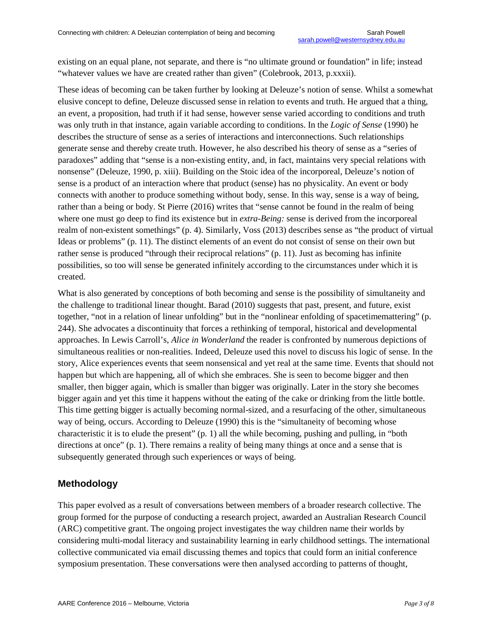existing on an equal plane, not separate, and there is "no ultimate ground or foundation" in life; instead "whatever values we have are created rather than given" (Colebrook, 2013, p.xxxii).

These ideas of becoming can be taken further by looking at Deleuze's notion of sense. Whilst a somewhat elusive concept to define, Deleuze discussed sense in relation to events and truth. He argued that a thing, an event, a proposition, had truth if it had sense, however sense varied according to conditions and truth was only truth in that instance, again variable according to conditions. In the *Logic of Sense* (1990) he describes the structure of sense as a series of interactions and interconnections. Such relationships generate sense and thereby create truth. However, he also described his theory of sense as a "series of paradoxes" adding that "sense is a non-existing entity, and, in fact, maintains very special relations with nonsense" (Deleuze, 1990, p. xiii). Building on the Stoic idea of the incorporeal, Deleuze's notion of sense is a product of an interaction where that product (sense) has no physicality. An event or body connects with another to produce something without body, sense. In this way, sense is a way of being, rather than a being or body. St Pierre (2016) writes that "sense cannot be found in the realm of being where one must go deep to find its existence but in *extra-Being:* sense is derived from the incorporeal realm of non-existent somethings" (p. 4). Similarly, Voss (2013) describes sense as "the product of virtual Ideas or problems" (p. 11). The distinct elements of an event do not consist of sense on their own but rather sense is produced "through their reciprocal relations" (p. 11). Just as becoming has infinite possibilities, so too will sense be generated infinitely according to the circumstances under which it is created.

What is also generated by conceptions of both becoming and sense is the possibility of simultaneity and the challenge to traditional linear thought. Barad (2010) suggests that past, present, and future, exist together, "not in a relation of linear unfolding" but in the "nonlinear enfolding of spacetimemattering" (p. 244). She advocates a discontinuity that forces a rethinking of temporal, historical and developmental approaches. In Lewis Carroll's, *Alice in Wonderland* the reader is confronted by numerous depictions of simultaneous realities or non-realities. Indeed, Deleuze used this novel to discuss his logic of sense. In the story, Alice experiences events that seem nonsensical and yet real at the same time. Events that should not happen but which are happening, all of which she embraces. She is seen to become bigger and then smaller, then bigger again, which is smaller than bigger was originally. Later in the story she becomes bigger again and yet this time it happens without the eating of the cake or drinking from the little bottle. This time getting bigger is actually becoming normal-sized, and a resurfacing of the other, simultaneous way of being, occurs. According to Deleuze (1990) this is the "simultaneity of becoming whose characteristic it is to elude the present" (p. 1) all the while becoming, pushing and pulling, in "both directions at once" (p. 1). There remains a reality of being many things at once and a sense that is subsequently generated through such experiences or ways of being.

## **Methodology**

This paper evolved as a result of conversations between members of a broader research collective. The group formed for the purpose of conducting a research project, awarded an Australian Research Council (ARC) competitive grant. The ongoing project investigates the way children name their worlds by considering multi-modal literacy and sustainability learning in early childhood settings. The international collective communicated via email discussing themes and topics that could form an initial conference symposium presentation. These conversations were then analysed according to patterns of thought,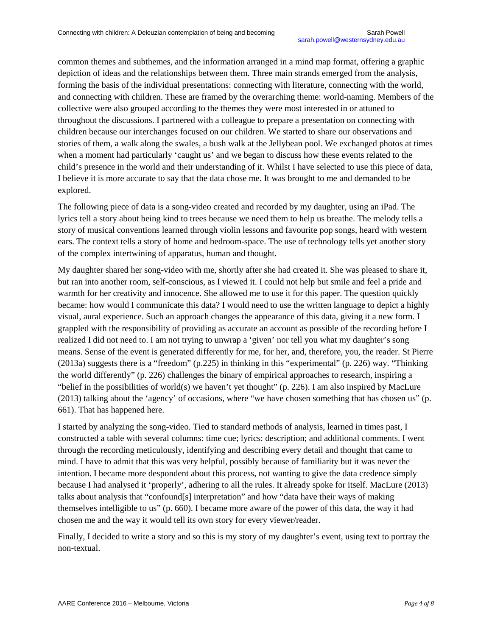common themes and subthemes, and the information arranged in a mind map format, offering a graphic depiction of ideas and the relationships between them. Three main strands emerged from the analysis, forming the basis of the individual presentations: connecting with literature, connecting with the world, and connecting with children. These are framed by the overarching theme: world-naming. Members of the collective were also grouped according to the themes they were most interested in or attuned to throughout the discussions. I partnered with a colleague to prepare a presentation on connecting with children because our interchanges focused on our children. We started to share our observations and stories of them, a walk along the swales, a bush walk at the Jellybean pool. We exchanged photos at times when a moment had particularly 'caught us' and we began to discuss how these events related to the child's presence in the world and their understanding of it. Whilst I have selected to use this piece of data, I believe it is more accurate to say that the data chose me. It was brought to me and demanded to be explored.

The following piece of data is a song-video created and recorded by my daughter, using an iPad. The lyrics tell a story about being kind to trees because we need them to help us breathe. The melody tells a story of musical conventions learned through violin lessons and favourite pop songs, heard with western ears. The context tells a story of home and bedroom-space. The use of technology tells yet another story of the complex intertwining of apparatus, human and thought.

My daughter shared her song-video with me, shortly after she had created it. She was pleased to share it, but ran into another room, self-conscious, as I viewed it. I could not help but smile and feel a pride and warmth for her creativity and innocence. She allowed me to use it for this paper. The question quickly became: how would I communicate this data? I would need to use the written language to depict a highly visual, aural experience. Such an approach changes the appearance of this data, giving it a new form. I grappled with the responsibility of providing as accurate an account as possible of the recording before I realized I did not need to. I am not trying to unwrap a 'given' nor tell you what my daughter's song means. Sense of the event is generated differently for me, for her, and, therefore, you, the reader. St Pierre (2013a) suggests there is a "freedom" (p.225) in thinking in this "experimental" (p. 226) way. "Thinking the world differently" (p. 226) challenges the binary of empirical approaches to research, inspiring a "belief in the possibilities of world(s) we haven't yet thought" (p. 226). I am also inspired by MacLure (2013) talking about the 'agency' of occasions, where "we have chosen something that has chosen us" (p. 661). That has happened here.

I started by analyzing the song-video. Tied to standard methods of analysis, learned in times past, I constructed a table with several columns: time cue; lyrics: description; and additional comments. I went through the recording meticulously, identifying and describing every detail and thought that came to mind. I have to admit that this was very helpful, possibly because of familiarity but it was never the intention. I became more despondent about this process, not wanting to give the data credence simply because I had analysed it 'properly', adhering to all the rules. It already spoke for itself. MacLure (2013) talks about analysis that "confound[s] interpretation" and how "data have their ways of making themselves intelligible to us" (p. 660). I became more aware of the power of this data, the way it had chosen me and the way it would tell its own story for every viewer/reader.

Finally, I decided to write a story and so this is my story of my daughter's event, using text to portray the non-textual.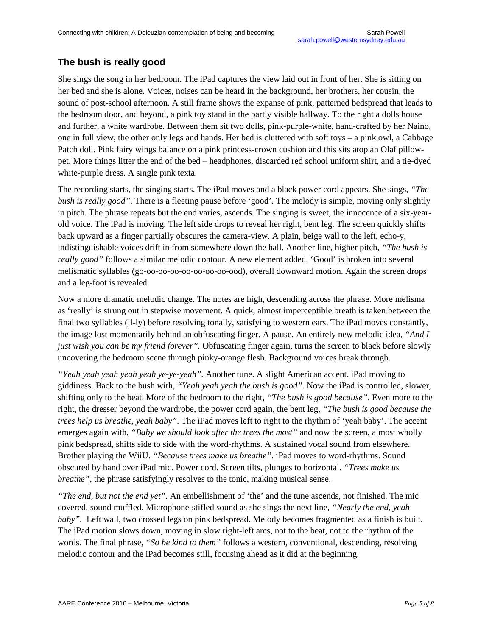# **The bush is really good**

She sings the song in her bedroom. The iPad captures the view laid out in front of her. She is sitting on her bed and she is alone. Voices, noises can be heard in the background, her brothers, her cousin, the sound of post-school afternoon. A still frame shows the expanse of pink, patterned bedspread that leads to the bedroom door, and beyond, a pink toy stand in the partly visible hallway. To the right a dolls house and further, a white wardrobe. Between them sit two dolls, pink-purple-white, hand-crafted by her Naino, one in full view, the other only legs and hands. Her bed is cluttered with soft toys – a pink owl, a Cabbage Patch doll. Pink fairy wings balance on a pink princess-crown cushion and this sits atop an Olaf pillowpet. More things litter the end of the bed – headphones, discarded red school uniform shirt, and a tie-dyed white-purple dress. A single pink texta.

The recording starts, the singing starts. The iPad moves and a black power cord appears. She sings, *"The bush is really good"*. There is a fleeting pause before 'good'. The melody is simple, moving only slightly in pitch. The phrase repeats but the end varies, ascends. The singing is sweet, the innocence of a six-yearold voice. The iPad is moving. The left side drops to reveal her right, bent leg. The screen quickly shifts back upward as a finger partially obscures the camera-view. A plain, beige wall to the left, echo-y, indistinguishable voices drift in from somewhere down the hall. Another line, higher pitch, *"The bush is really good"* follows a similar melodic contour. A new element added. 'Good' is broken into several melismatic syllables (go-oo-oo-oo-oo-oo-oo-oo-ood), overall downward motion. Again the screen drops and a leg-foot is revealed.

Now a more dramatic melodic change. The notes are high, descending across the phrase. More melisma as 'really' is strung out in stepwise movement. A quick, almost imperceptible breath is taken between the final two syllables (ll-ly) before resolving tonally, satisfying to western ears. The iPad moves constantly, the image lost momentarily behind an obfuscating finger. A pause. An entirely new melodic idea, *"And I just wish you can be my friend forever".* Obfuscating finger again, turns the screen to black before slowly uncovering the bedroom scene through pinky-orange flesh. Background voices break through.

*"Yeah yeah yeah yeah yeah ye-ye-yeah".* Another tune. A slight American accent. iPad moving to giddiness. Back to the bush with*, "Yeah yeah yeah the bush is good"*. Now the iPad is controlled, slower, shifting only to the beat. More of the bedroom to the right, *"The bush is good because"*. Even more to the right, the dresser beyond the wardrobe, the power cord again*,* the bent leg, *"The bush is good because the trees help us breathe, yeah baby".* The iPad moves left to right to the rhythm of 'yeah baby'. The accent emerges again with, *"Baby we should look after the trees the most"* and now the screen, almost wholly pink bedspread, shifts side to side with the word-rhythms. A sustained vocal sound from elsewhere. Brother playing the WiiU. *"Because trees make us breathe".* iPad moves to word-rhythms. Sound obscured by hand over iPad mic. Power cord. Screen tilts, plunges to horizontal. *"Trees make us breathe"*, the phrase satisfyingly resolves to the tonic, making musical sense.

*"The end, but not the end yet".* An embellishment of 'the' and the tune ascends, not finished. The mic covered, sound muffled. Microphone-stifled sound as she sings the next line, *"Nearly the end, yeah baby".* Left wall, two crossed legs on pink bedspread. Melody becomes fragmented as a finish is built. The iPad motion slows down, moving in slow right-left arcs, not to the beat, not to the rhythm of the words. The final phrase, *"So be kind to them"* follows a western, conventional, descending, resolving melodic contour and the iPad becomes still, focusing ahead as it did at the beginning.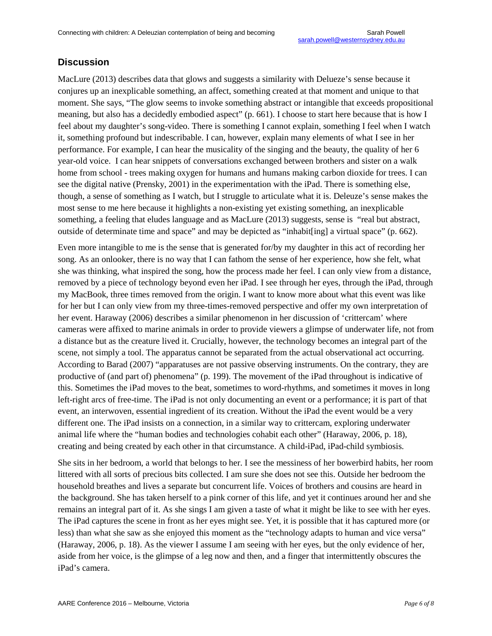### **Discussion**

MacLure (2013) describes data that glows and suggests a similarity with Delueze's sense because it conjures up an inexplicable something, an affect, something created at that moment and unique to that moment. She says, "The glow seems to invoke something abstract or intangible that exceeds propositional meaning, but also has a decidedly embodied aspect" (p. 661). I choose to start here because that is how I feel about my daughter's song-video. There is something I cannot explain, something I feel when I watch it, something profound but indescribable. I can, however, explain many elements of what I see in her performance. For example, I can hear the musicality of the singing and the beauty, the quality of her 6 year-old voice. I can hear snippets of conversations exchanged between brothers and sister on a walk home from school - trees making oxygen for humans and humans making carbon dioxide for trees. I can see the digital native (Prensky, 2001) in the experimentation with the iPad. There is something else, though, a sense of something as I watch, but I struggle to articulate what it is. Deleuze's sense makes the most sense to me here because it highlights a non-existing yet existing something, an inexplicable something, a feeling that eludes language and as MacLure (2013) suggests, sense is "real but abstract, outside of determinate time and space" and may be depicted as "inhabit[ing] a virtual space" (p. 662).

Even more intangible to me is the sense that is generated for/by my daughter in this act of recording her song. As an onlooker, there is no way that I can fathom the sense of her experience, how she felt, what she was thinking, what inspired the song, how the process made her feel. I can only view from a distance, removed by a piece of technology beyond even her iPad. I see through her eyes, through the iPad, through my MacBook, three times removed from the origin. I want to know more about what this event was like for her but I can only view from my three-times-removed perspective and offer my own interpretation of her event. Haraway (2006) describes a similar phenomenon in her discussion of 'crittercam' where cameras were affixed to marine animals in order to provide viewers a glimpse of underwater life, not from a distance but as the creature lived it. Crucially, however, the technology becomes an integral part of the scene, not simply a tool. The apparatus cannot be separated from the actual observational act occurring. According to Barad (2007) "apparatuses are not passive observing instruments. On the contrary, they are productive of (and part of) phenomena" (p. 199). The movement of the iPad throughout is indicative of this. Sometimes the iPad moves to the beat, sometimes to word-rhythms, and sometimes it moves in long left-right arcs of free-time. The iPad is not only documenting an event or a performance; it is part of that event, an interwoven, essential ingredient of its creation. Without the iPad the event would be a very different one. The iPad insists on a connection, in a similar way to crittercam, exploring underwater animal life where the "human bodies and technologies cohabit each other" (Haraway, 2006, p. 18), creating and being created by each other in that circumstance. A child-iPad, iPad-child symbiosis.

She sits in her bedroom, a world that belongs to her. I see the messiness of her bowerbird habits, her room littered with all sorts of precious bits collected. I am sure she does not see this. Outside her bedroom the household breathes and lives a separate but concurrent life. Voices of brothers and cousins are heard in the background. She has taken herself to a pink corner of this life, and yet it continues around her and she remains an integral part of it. As she sings I am given a taste of what it might be like to see with her eyes. The iPad captures the scene in front as her eyes might see. Yet, it is possible that it has captured more (or less) than what she saw as she enjoyed this moment as the "technology adapts to human and vice versa" (Haraway, 2006, p. 18). As the viewer I assume I am seeing with her eyes, but the only evidence of her, aside from her voice, is the glimpse of a leg now and then, and a finger that intermittently obscures the iPad's camera.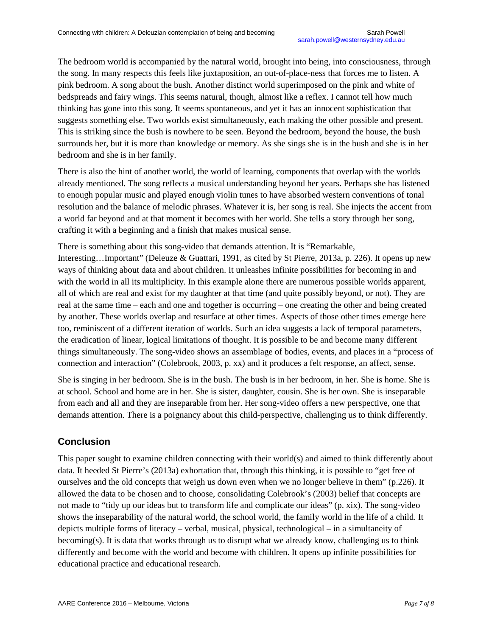The bedroom world is accompanied by the natural world, brought into being, into consciousness, through the song. In many respects this feels like juxtaposition, an out-of-place-ness that forces me to listen. A pink bedroom. A song about the bush. Another distinct world superimposed on the pink and white of bedspreads and fairy wings. This seems natural, though, almost like a reflex. I cannot tell how much thinking has gone into this song. It seems spontaneous, and yet it has an innocent sophistication that suggests something else. Two worlds exist simultaneously, each making the other possible and present. This is striking since the bush is nowhere to be seen. Beyond the bedroom, beyond the house, the bush surrounds her, but it is more than knowledge or memory. As she sings she is in the bush and she is in her bedroom and she is in her family.

There is also the hint of another world, the world of learning, components that overlap with the worlds already mentioned. The song reflects a musical understanding beyond her years. Perhaps she has listened to enough popular music and played enough violin tunes to have absorbed western conventions of tonal resolution and the balance of melodic phrases. Whatever it is, her song is real. She injects the accent from a world far beyond and at that moment it becomes with her world. She tells a story through her song, crafting it with a beginning and a finish that makes musical sense.

There is something about this song-video that demands attention. It is "Remarkable,

Interesting…Important" (Deleuze & Guattari, 1991, as cited by St Pierre, 2013a, p. 226). It opens up new ways of thinking about data and about children. It unleashes infinite possibilities for becoming in and with the world in all its multiplicity. In this example alone there are numerous possible worlds apparent, all of which are real and exist for my daughter at that time (and quite possibly beyond, or not). They are real at the same time – each and one and together is occurring – one creating the other and being created by another. These worlds overlap and resurface at other times. Aspects of those other times emerge here too, reminiscent of a different iteration of worlds. Such an idea suggests a lack of temporal parameters, the eradication of linear, logical limitations of thought. It is possible to be and become many different things simultaneously. The song-video shows an assemblage of bodies, events, and places in a "process of connection and interaction" (Colebrook, 2003, p. xx) and it produces a felt response, an affect, sense.

She is singing in her bedroom. She is in the bush. The bush is in her bedroom, in her. She is home. She is at school. School and home are in her. She is sister, daughter, cousin. She is her own. She is inseparable from each and all and they are inseparable from her. Her song-video offers a new perspective, one that demands attention. There is a poignancy about this child-perspective, challenging us to think differently.

## **Conclusion**

This paper sought to examine children connecting with their world(s) and aimed to think differently about data. It heeded St Pierre's (2013a) exhortation that, through this thinking, it is possible to "get free of ourselves and the old concepts that weigh us down even when we no longer believe in them" (p.226). It allowed the data to be chosen and to choose, consolidating Colebrook's (2003) belief that concepts are not made to "tidy up our ideas but to transform life and complicate our ideas" (p. xix). The song-video shows the inseparability of the natural world, the school world, the family world in the life of a child. It depicts multiple forms of literacy – verbal, musical, physical, technological – in a simultaneity of becoming(s). It is data that works through us to disrupt what we already know, challenging us to think differently and become with the world and become with children. It opens up infinite possibilities for educational practice and educational research.